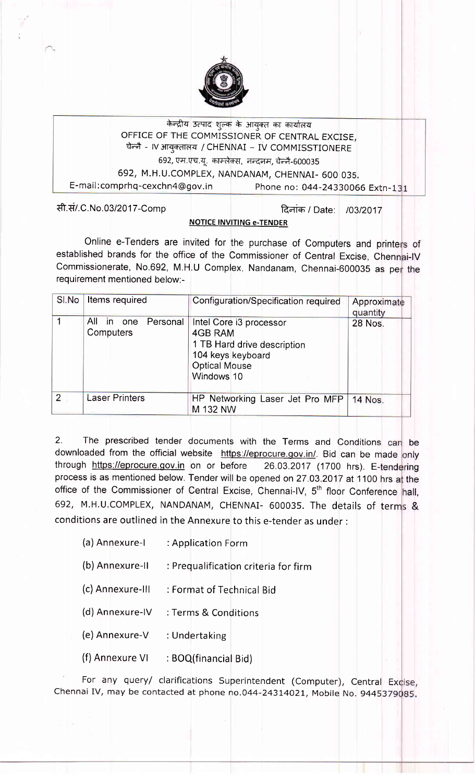

# केन्द्रीय उत्पाद शुल्क के आयुक्त का कार्यालय OFFICE OF THE COMMISSICINER oF CENTRAL EXCISE, चेन्नै - IV आयुक्तालय / CHENNAI – IV COMMISSTIONERE 692, एम.एच.यू. काम्लेक्स, नन्दनम, चेन्नै-600035

692, M.H.U.COMPLEX, NANDANAM, CHENNAI- 600 035.

E-mail: comprhq-cexchn4@gov.in Phone no: 044-24330066 Extn-131

सी.सं/.C.No.03/2017-Comp | दिलांक / Date: 103/2017

# **NOTICE INVITING e-TENDER**

Online e-Tenders are invited for the purchase of Computers and printers of established brands for the office of the Commissioner of Central Excise, Chennai-IV Commissionerate, No.692, M.H.U Complex, Nandanam, Chennai-600035 as per the requirement mentioned below:-

|                | SI.No   Items required              | Configuration/Specification required                                                                                         | Approximate<br>quantity |  |  |
|----------------|-------------------------------------|------------------------------------------------------------------------------------------------------------------------------|-------------------------|--|--|
|                | in one Personal<br>All<br>Computers | Intel Core i3 processor<br>4GB RAM<br>1 TB Hard drive description<br>104 keys keyboard<br><b>Optical Mouse</b><br>Windows 10 | 28 Nos.                 |  |  |
| $\overline{2}$ | <b>Laser Printers</b>               | HP Networking Laser Jet Pro MFP<br>M 132 NW                                                                                  | 14 Nos.                 |  |  |

2. The prescribed tender documents with the Terms and Conditions can be downloaded from the official website <u>https://eprocure.gov.in/</u>. Bid can be made <mark>only</mark> through https://eprocure.gov.in on or before process is as mentioned below. Tender will be opened on 27.03.2017 at 1100 hrs at the office of the Commissioner of Central Excise, Chennai-IV, 5<sup>th</sup> floor Conference hall, 692, M.H.U.COMPLEX, NANDANAM, CHENNAI- 600035. The details of terms & conditions are outlined in the Annexure to this e-tender as under : 26.03.2017 (1700 hrs). E-tendering

- (a)Annexure-l :Application Forrn
- (b) Annexure-ll : Prequalification criteria for firm
- (c) Annexure-lll : Format of Technical Bid
- (d) Annexure-lV :Terms & Conditions
- (e) Annexure-V : Undertaking
- (f) Annexure VI :  $BOQ(finanical Bid)$

For any query/ clarifications Superintendent (Computer), Central Excise, Chennai IV, may be contacted at phone no.044-24314021, Mobile No. 9445379085.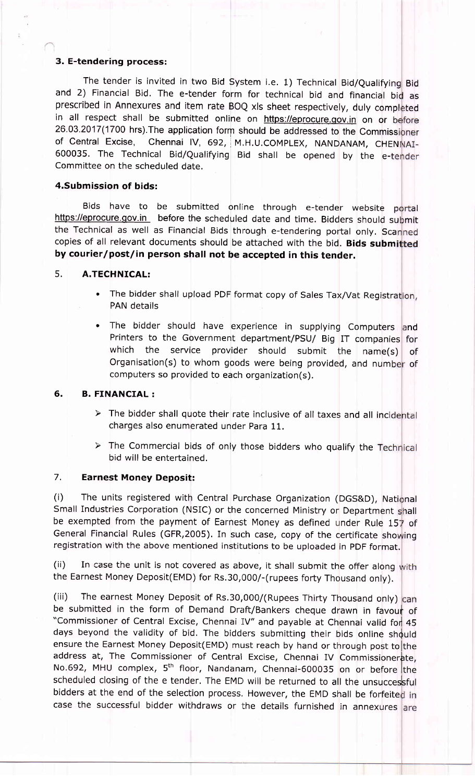# 3. E-tendering process:

The tender is invited in two Bid System i.e. 1) Technical Bid/Qualifying Bid and 2) Financial Bid. The e-tender form for technical bid and financial bid as in all respect shall be submitted online on https://eprocure.gov.in on or before 26.03.2017(1700 hrs). The application form should be addressed to the Commissioner<br>of Central Excise, Chennai IV, 692, M.H.U.COMPLEX, NANDANAM, CHENNAI-Chennai IV, 692, M.H.U.COMPLEX, NANDANAM, CHENNAI-600035. The Technical Bid/Qualifying Bid shall be opened by the e-tender Committee on the scheduled date. prescribed in Annexures and item rate BOQ xls sheet respectively, duly completed

## 4,Submission of bids:

Bids have to be submitted online through e-tender website portal https://eprocure.gov.in before the scheduled date and time. Bidders should submit the Technical as well as Financial Bids through e-tendering portal only. Scanned copies of all relevant documents should be attached with the bid. Bids submitted by courier/post/in person shall not be accepted in this tender.

# 5. A.TECHNICAL:

- The bidder shall upload PDF format copy of Sales Tax/Vat Registration, PAN details
- . The bidder should have experience in supplying Computers and Printers to the Government department/PSU/ Big IT companies for which the service provider should submit the name(s) Organisation(s) to whom goods were being provided, and number of computers so provided to each organization(s). of

## 6. B. FINANCIAL:

- $\triangleright$  The bidder shall quote their rate inclusive of all taxes and all incidental charges also enumerated under Para 11.
- $\triangleright$  The Commercial bids of only those bidders who qualify the Technical bid will be entertained.

## 7. Earnest Money Deposit:

(i) The units registered with Central Purchase Organization (DGS&D), National Small Industries Corporation (NSIC) or the concerned Ministry or Department shall be exempted from the payment of Earnest Money as defined under Rule 157 of General Financial Rules (GFR,2005). In such case, copy of the certificate showing registration with the above mentioned institutions to be uploaded in PDF format.

(ii) In case the unit is not covered as above, it shall submit the offer along with the Earnest Money Deposit(EMD) for Rs.30,000/-(rupees forty Thousand only).

(iii) The earnest Money Deposit of Rs.30,000/(Rupees Thirty Thousand only) can be submitted in the form of Demand Draft/Bankers cheque drawn in favour of "Commissioner of Central Excise, Chennai IV" and payable at Chennai valid for 45 days beyond the validity of bid. The bidders submitting their bids online should ensure the Earnest Money Deposit(EMD) must reach by hand or through post to the address at, The Commissioner of Central Excise, Chennai IV Commissionerate, No.692, MHU complex,  $5<sup>th</sup>$  floor, Nandanam, Chennai-600035 on or before the scheduled closing of the e tender. The EMD will be returned to all the unsuccessful bidders at the end of the selection process. However, the EMD shall be forfeited in case the successful bidder withdraws or the details furnished in annexures are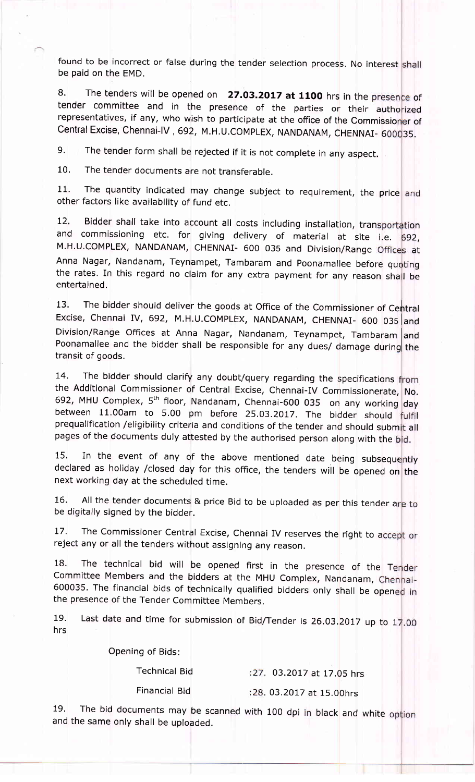found to be incorrect or false during the tender selection process. No interest shall be paid on the EMD.

8. The tenders will be opened on  $\left| \right\rangle$  27.03.2017 at 1100 hrs in the presence of tender committee and in the presence of the parties or their authorized representatives, if any, who wish to participate at the office of the Commissioner of Central Excise, Chennai-IV , 692, M.H.U.COMPLEX, NANDANAM, CHENNAI- 600035.

9. The tender form shall be rejected if it is not complete in any aspect.

10. The tender documents are not transferable.

11. The quantity indicated may change subject to requirement, the price and other factors like availability of fund etc.

12. Bidder shall take into account all costs including installation, transportation<br>and commissioning etc. for giving delivery of material at site i.e. 692, M.H.U.COMPLEX, NANDANAM, CHENNAI- 600 035 and Division/Range Offices at Anna Nagar, Nandanam, Teynampet, Tambaram and Poonamallee before quoting the rates. In this regard no claim for any extra payment for any reason shall be entertained, Bidder shall take into account all costs including installation, transportation

13. The bidder should deliver the goods at Office of the Commissioner of Central Excise, Chennai IV, 692, M.H.U.COMPLEX, NANDANAM, CHENNAI- 600 035 and Division/Range Offices at Anna Nagar, Nandanam, Teynampet, Tambaram and Poonamallee and the bidder shall be responsible for any dues/ damage during the transit of goods,

14. The bidder should clarify any doubt/query regarding the specifications from the Additional Commissioner of Central Excise, Chennai-IV Commissionerate, No. 692, MHU Complex, 5<sup>th</sup> floor, Nandanam, Chennai-600 035 on any working day between 11.00am to 5.00 pm before 25.03.2017. The bidder should fulfil prequalification /eligibility criteria and conditions of the tender and should submit all pages of the documents duly attested by the authorised person along with the bid.

15. In the event of any of the above mentioned date being subsequently declared as holiday /closed day for this office, the tenders will be opened on the next working day at the scheduled time.

16. All the tender documents & price Bid to be uploaded as per this tender are to be digitally signed by the bidder.

17. The Commissioner Central Excise, Chennai IV reserves the right to accept or reject any or all the tenders without assigning any reason.

18. The technical bid will be opened first in the presence of the Tender committee Members and the bidders at the MHU complex, Nandanam, 600035. The financial bids of technically qualified bidders only shall be opened in the presence of the Tender Committee Members,

Last date and time for submission of Bid/Tender is 26.03.2017 up to 17.00 19. hrs

Opening of Bids:

Technical Bid

03.2OL7 at 17.05 hrs

Financial Bid

03.2077 at 15.00hrs

19. The bid documents may be scanned with 100 dpi in black and white and the same only shall be uploaded.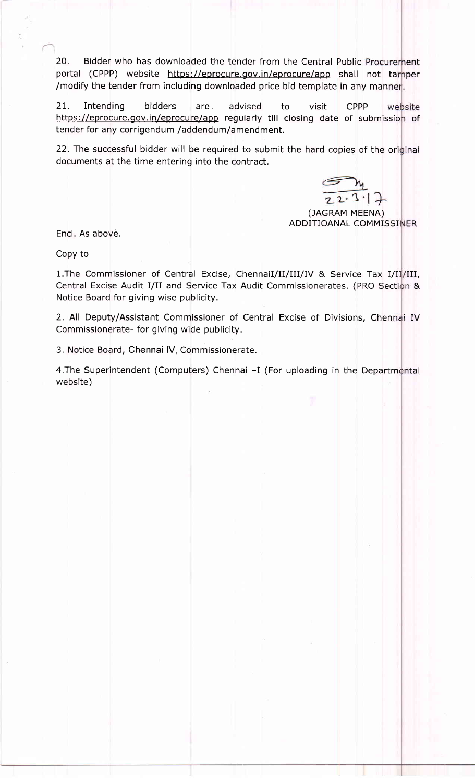20. Bidder who has downloaded the tender from the Central Public Procurement portal (CPPP) website https://eprocure.gov.in/eprocure/app shall not tamper /modify the tender from including downloaded price bid template in any man

21. Intending bidders are advised to visit CPPP 21. Intending bidders are advised to visit CPPP website<br>https://eprocure.gov.in/eprocure/app regularly till closing date of submission of tender for any corrigendum /addendum/amendment.

22. The successful bidder will be required to submit the hard copies of the original documents at the time entering into the contract,

 $2.3$   $+$ 

ADDITIOANAL COMMISSINER (JAGRAM MEENA)

Encl, As above.

Copy to

1. The Commissioner of Central Excise, ChennaiI/II/III/IV & Service Tax I/II/III, Central Excise Audit I/II and Service Tax Audit Commissionerates. (PRO Section & Notice Board for giving wise publicity.

2. All Deputy/Assistant Commissioner of Central Excise of Divisions, Chennai IV Commissionerate- for giving wide publicity,

3. Notice Board, Chennai IV, Commissionerate.

4.The Superintendent (Computers) Chennai -I (For uploading in the Departmenta website)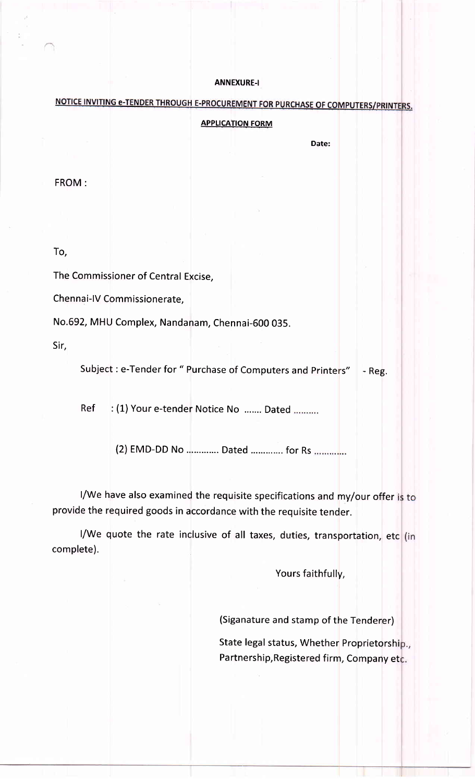## **ANNEXURE-I**

NOTICE INVITING e-TENDER THROUGH E-PROCUREMENT FOR PURCHASE OF COMPUTERS/PRINTERS.

## **APPLICATION FORM**

Date:

FROM :

To,

The Commissioner of Central Excise,

Chennai-IV Commissionerate,

No.592, MHU Complex, Nandanam, Chennai-600 035.

Sir,

Subject : e-Tender for " Purchase of Computers and Printers" | - Reg.

Ref : (1) Your e-tender Notice No ....... Dated ..........

(2) EMD-DD No ............ Dated .............. for Rs ....................

I/We have also examined the requisite specifications and my/our offer is to provide the required goods in accordance with the requisite tender.

I/We quote the rate inclusive of all taxes, duties, transportation, etc (in complete).

Yours faithfully,

(Siganature and stamp of the Tenderer)

State legal status, Whether Proprietorship., Partnership, Registered firm, Company etc.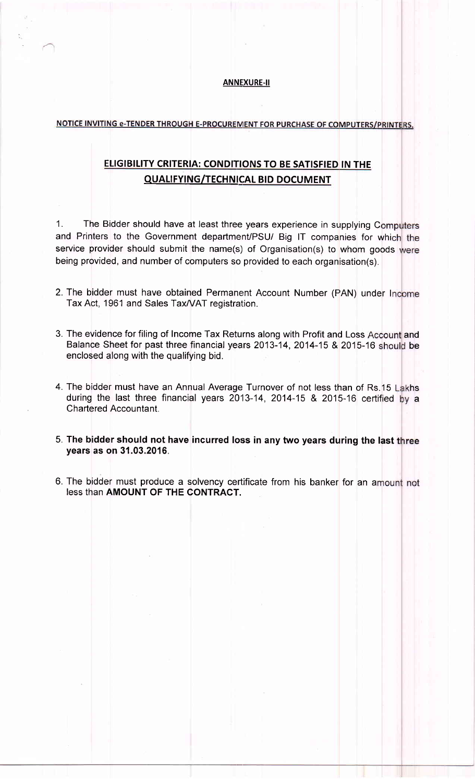#### ANNEXURE-II

## NOTICE INVITING e-TENDER THROUGH E-PROCUREMENT FOR PURCHASE OF COMPUTERS/PRINTERS.

# ELIGIBILITY CRITERIA: CONDITIONS TO BE SATISFIED IN THE QUALIFYING/TECHNICAL BID DOCUMENT

1. The Bidder should have at least three years experience in supplying Computers and Printers to the Government department/PSU/ Big IT companies for which the service provider should submit the name(s) of Organisation(s) to whom goods were being provided, and number of computers so provided to each organisation(s).

- 2. The bidder must have obtained Permanent Account Number (PAN) under Income Tax Act, 1961 and Sales Tax/VAT registration.
- 3. The evidence for filing of Income Tax Returns along with Profit and Loss Account and Balance Sheet for past three financial years 2013-14, 2014-15 & 2015-16 should be enclosed along with the qualifying bid.
- 4. The bidder must have an Annual Average Turnover of not less than of Rs.15 Lakhs during the last three financial years 2013-14, 2014-15 & 2015-16 certified by a Chartered Accountant.
- 5. The bidder should not have incurred loss in any two years during the last three years as on 31.03.2016.
- 6. The bidder must produce a solvency certificate from his banker for an amount not less than AMOUNT OF THE CONTRACT.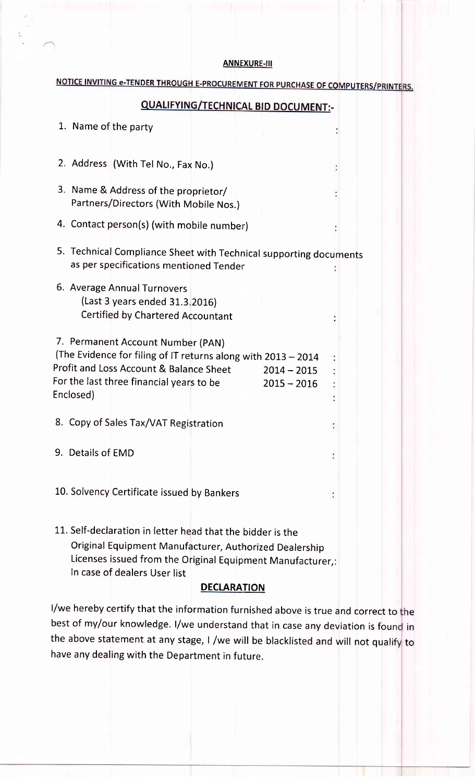### **ANNEXURE-III**

# NOTICE INVITING e-TENDER THROUGH E-PROCUREMENT FOR PURCHASE OF COMPUTERS/PRINTERS.

# **QUALIFYING/TECHNICAL BID DOCUMENT:-**

| 1. Name of the party                                                                                                                                                                                                                     |  |
|------------------------------------------------------------------------------------------------------------------------------------------------------------------------------------------------------------------------------------------|--|
| 2. Address (With Tel No., Fax No.)                                                                                                                                                                                                       |  |
| 3. Name & Address of the proprietor/<br>Partners/Directors (With Mobile Nos.)                                                                                                                                                            |  |
| 4. Contact person(s) (with mobile number)                                                                                                                                                                                                |  |
| 5. Technical Compliance Sheet with Technical supporting documents<br>as per specifications mentioned Tender                                                                                                                              |  |
| 6. Average Annual Turnovers<br>(Last 3 years ended 31.3.2016)<br>Certified by Chartered Accountant                                                                                                                                       |  |
| 7. Permanent Account Number (PAN)<br>(The Evidence for filing of IT returns along with 2013 - 2014<br>Profit and Loss Account & Balance Sheet<br>$2014 - 2015$<br>For the last three financial years to be<br>$2015 - 2016$<br>Enclosed) |  |
| 8. Copy of Sales Tax/VAT Registration                                                                                                                                                                                                    |  |
| 9. Details of EMD                                                                                                                                                                                                                        |  |
| 10. Solvency Certificate issued by Bankers                                                                                                                                                                                               |  |
| 11. Self-declaration in letter head that the bidder is the                                                                                                                                                                               |  |

Original Equipment Manufacturer, Authorized Dealership Licenses issued from the original Equipment Manufacturer,: In case of dealers User list

# **DECLARATION**

I/we hereby certify that the information furnished above is true and correct to the best of my/our knowledge. I/we understand that in case any deviation is found in the above statement at any stage, I /we will be blacklisted and will not qualify to have any dealing with the Department in future.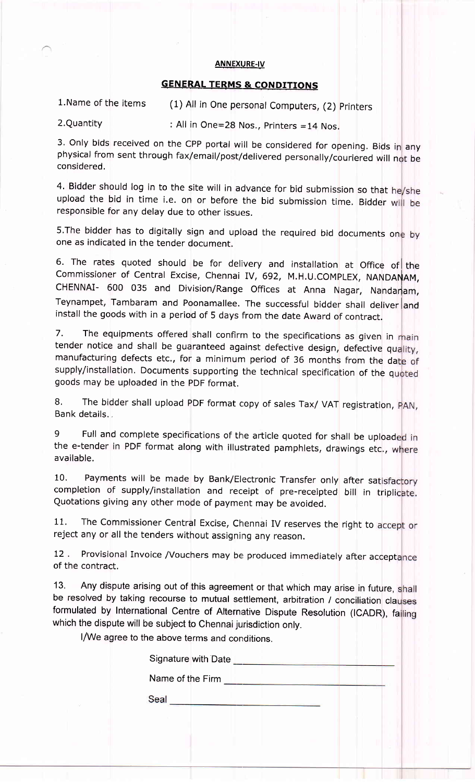#### **ANNEXURE-IV**

# **GENERAL TERMS & CONDITIONS**

1. Name of the items (1) All in One personal Computers, (2) Printers

 $2.$ Quantity : All in One=28 Nos., Printers =14 Nos.

3. Only bids received on the CPP portal will be considered for opening. Bids in any physical from sent through fax/email/post/delivered personally/couriered will not be considered.

4. Bidder should log in to the site will in advance for bid submission so that he/she upload the bid in time i.e. on or before the bid submission time. Bidder will be responsible for any delay due to other issues.

5. The bidder has to digitally sign and upload the required bid documents one by one as indicated in the tender document.

6. The rates quoted should be for delivery and installation at Office of the Commissioner of Central Excise, Chennai IV, 692, M.H.U.COMPLEX, NANDANAM, CHENNAI- 600 035 and Division/Range Offices at Anna Nagar, Nandaram, Teynampet, Tambaram and Poonamallee. The successful bidder shall deliver and install the goods with in a period of 5 days from the date Award of contract.

7. The equipments offered shall confirm to the specifications as given in main tender notice and shall be guaranteed against defective design, defective quality, manufacturing defects etc., for a minimum period of 36 months from the date of supply/installation. Documents supporting the technical specification of the quoted goods may be uploaded in the pDF format.

8. The bidder shall upload PDF format copy of sales Tax/ VAT registration, PAN, Bank details.,

9 Full and complete specifications of the article quoted for shall be uploaded in the e-tender in PDF format along with illustrated pamphlets, drawings etc., where available.

10. Payments will be made by Bank/Electronic Transfer only after satisfactory completion of supply/installation and receipt of pre-receipted bill in triplicate. Quotations giving any other mode of payment may be avoided.

11. The Commissioner Central Excise, Chennai IV reserves the right to accept or reject any or all the tenders without assigning any reason.

12 . Provisional Invoice /Vouchers may be produced immediately after acceptance of the contract,

13. Any dispute arising out of this agreement or that which may arise in future, shall be resolved by taking recourse to mutual settlement, arbitration / conciliation clauses formulated by International Centre of Alternative Dispute Resolution (ICADR), falling which the dispute will be subject to Chennai jurisdiction only.

I/We agree to the above terms and conditions.

Signature with Date

Name of the Firm **Name of the Firm** 

Seal